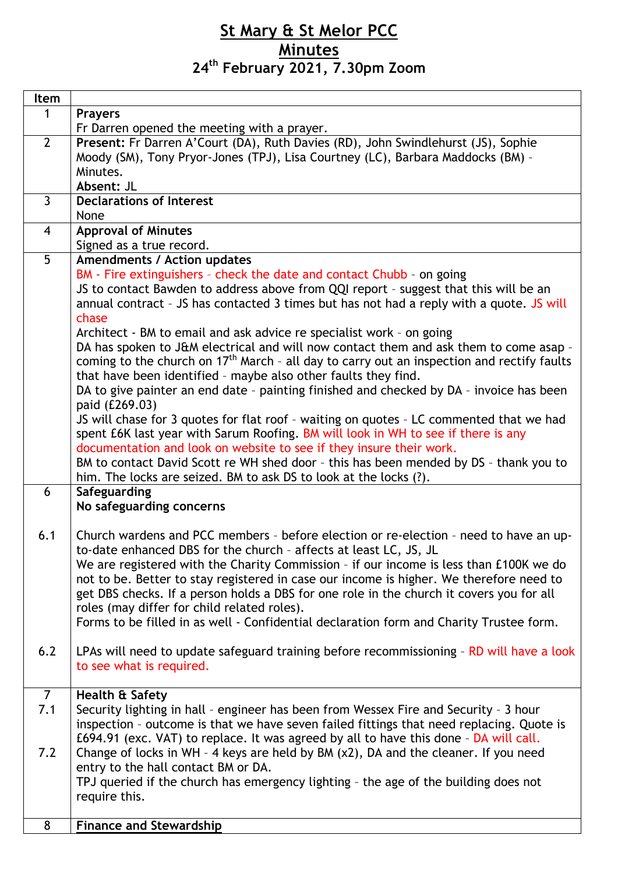## **St Mary & St Melor PCC Minutes 24th February 2021, 7.30pm Zoom**

| Item           |                                                                                                        |
|----------------|--------------------------------------------------------------------------------------------------------|
| 1              | <b>Prayers</b>                                                                                         |
|                | Fr Darren opened the meeting with a prayer.                                                            |
| $\overline{2}$ | Present: Fr Darren A'Court (DA), Ruth Davies (RD), John Swindlehurst (JS), Sophie                      |
|                | Moody (SM), Tony Pryor-Jones (TPJ), Lisa Courtney (LC), Barbara Maddocks (BM) -                        |
|                | Minutes.                                                                                               |
|                | Absent: JL                                                                                             |
| $\overline{3}$ | <b>Declarations of Interest</b>                                                                        |
|                | None                                                                                                   |
| $\overline{4}$ | <b>Approval of Minutes</b>                                                                             |
|                | Signed as a true record.                                                                               |
| 5              | Amendments / Action updates                                                                            |
|                | BM - Fire extinguishers - check the date and contact Chubb - on going                                  |
|                | JS to contact Bawden to address above from QQI report - suggest that this will be an                   |
|                | annual contract - JS has contacted 3 times but has not had a reply with a quote. JS will               |
|                | chase                                                                                                  |
|                | Architect - BM to email and ask advice re specialist work - on going                                   |
|                | DA has spoken to J&M electrical and will now contact them and ask them to come asap -                  |
|                | coming to the church on 17 <sup>th</sup> March - all day to carry out an inspection and rectify faults |
|                | that have been identified - maybe also other faults they find.                                         |
|                | DA to give painter an end date - painting finished and checked by DA - invoice has been                |
|                | paid (£269.03)                                                                                         |
|                | JS will chase for 3 quotes for flat roof - waiting on quotes - LC commented that we had                |
|                | spent £6K last year with Sarum Roofing. BM will look in WH to see if there is any                      |
|                | documentation and look on website to see if they insure their work.                                    |
|                | BM to contact David Scott re WH shed door - this has been mended by DS - thank you to                  |
|                | him. The locks are seized. BM to ask DS to look at the locks (?).                                      |
| 6              | Safeguarding                                                                                           |
|                | No safeguarding concerns                                                                               |
|                |                                                                                                        |
| 6.1            | Church wardens and PCC members - before election or re-election - need to have an up-                  |
|                | to-date enhanced DBS for the church - affects at least LC, JS, JL                                      |
|                | We are registered with the Charity Commission - if our income is less than £100K we do                 |
|                | not to be. Better to stay registered in case our income is higher. We therefore need to                |
|                | get DBS checks. If a person holds a DBS for one role in the church it covers you for all               |
|                | roles (may differ for child related roles).                                                            |
|                | Forms to be filled in as well - Confidential declaration form and Charity Trustee form.                |
|                |                                                                                                        |
| 6.2            | LPAs will need to update safeguard training before recommissioning - RD will have a look               |
|                | to see what is required.                                                                               |
|                |                                                                                                        |
| $\overline{7}$ | Health & Safety                                                                                        |
| 7.1            | Security lighting in hall - engineer has been from Wessex Fire and Security - 3 hour                   |
|                | inspection - outcome is that we have seven failed fittings that need replacing. Quote is               |
|                | £694.91 (exc. VAT) to replace. It was agreed by all to have this done - DA will call.                  |
| 7.2            | Change of locks in WH - 4 keys are held by BM (x2), DA and the cleaner. If you need                    |
|                | entry to the hall contact BM or DA.                                                                    |
|                | TPJ queried if the church has emergency lighting - the age of the building does not                    |
|                | require this.                                                                                          |
|                |                                                                                                        |
| 8              | <b>Finance and Stewardship</b>                                                                         |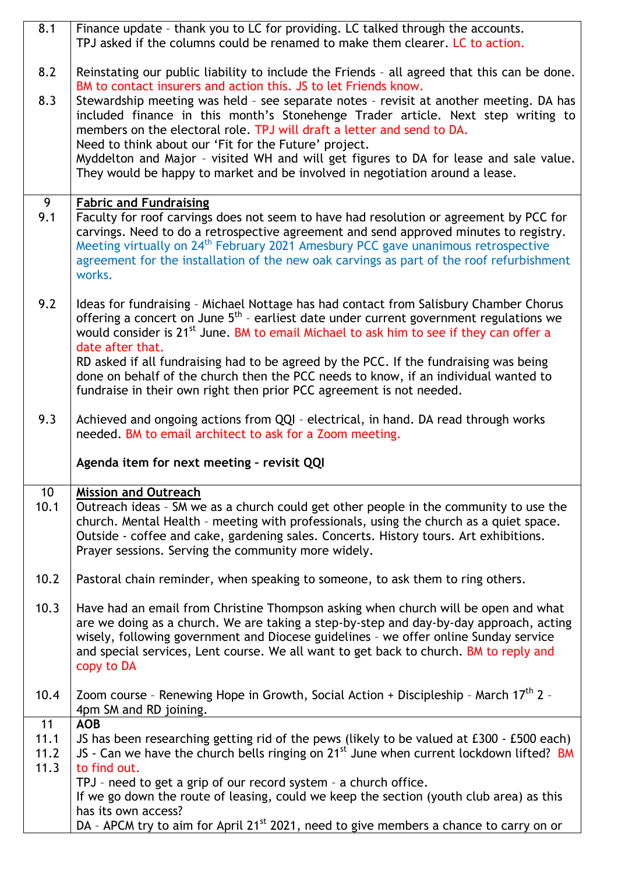|              | Finance update - thank you to LC for providing. LC talked through the accounts.<br>TPJ asked if the columns could be renamed to make them clearer. LC to action.                                                                                                                                                                                                                                                                                                                                                                                                              |
|--------------|-------------------------------------------------------------------------------------------------------------------------------------------------------------------------------------------------------------------------------------------------------------------------------------------------------------------------------------------------------------------------------------------------------------------------------------------------------------------------------------------------------------------------------------------------------------------------------|
| 8.2          | Reinstating our public liability to include the Friends - all agreed that this can be done.                                                                                                                                                                                                                                                                                                                                                                                                                                                                                   |
| 8.3          | BM to contact insurers and action this. JS to let Friends know.<br>Stewardship meeting was held - see separate notes - revisit at another meeting. DA has<br>included finance in this month's Stonehenge Trader article. Next step writing to<br>members on the electoral role. TPJ will draft a letter and send to DA.<br>Need to think about our 'Fit for the Future' project.<br>Myddelton and Major - visited WH and will get figures to DA for lease and sale value.<br>They would be happy to market and be involved in negotiation around a lease.                     |
| 9            | <b>Fabric and Fundraising</b>                                                                                                                                                                                                                                                                                                                                                                                                                                                                                                                                                 |
| 9.1          | Faculty for roof carvings does not seem to have had resolution or agreement by PCC for<br>carvings. Need to do a retrospective agreement and send approved minutes to registry.<br>Meeting virtually on 24 <sup>th</sup> February 2021 Amesbury PCC gave unanimous retrospective<br>agreement for the installation of the new oak carvings as part of the roof refurbishment<br>works.                                                                                                                                                                                        |
| 9.2          | Ideas for fundraising - Michael Nottage has had contact from Salisbury Chamber Chorus<br>offering a concert on June 5 <sup>th</sup> - earliest date under current government regulations we<br>would consider is 21 <sup>st</sup> June. BM to email Michael to ask him to see if they can offer a<br>date after that.<br>RD asked if all fundraising had to be agreed by the PCC. If the fundraising was being<br>done on behalf of the church then the PCC needs to know, if an individual wanted to<br>fundraise in their own right then prior PCC agreement is not needed. |
|              |                                                                                                                                                                                                                                                                                                                                                                                                                                                                                                                                                                               |
| 9.3          | Achieved and ongoing actions from QQI - electrical, in hand. DA read through works<br>needed. BM to email architect to ask for a Zoom meeting.                                                                                                                                                                                                                                                                                                                                                                                                                                |
|              | Agenda item for next meeting - revisit QQI                                                                                                                                                                                                                                                                                                                                                                                                                                                                                                                                    |
| 10           | <b>Mission and Outreach</b>                                                                                                                                                                                                                                                                                                                                                                                                                                                                                                                                                   |
|              |                                                                                                                                                                                                                                                                                                                                                                                                                                                                                                                                                                               |
| 10.1         | Outreach ideas - SM we as a church could get other people in the community to use the<br>church. Mental Health - meeting with professionals, using the church as a quiet space.<br>Outside - coffee and cake, gardening sales. Concerts. History tours. Art exhibitions.<br>Prayer sessions. Serving the community more widely.                                                                                                                                                                                                                                               |
| 10.2         | Pastoral chain reminder, when speaking to someone, to ask them to ring others.                                                                                                                                                                                                                                                                                                                                                                                                                                                                                                |
| 10.3         | Have had an email from Christine Thompson asking when church will be open and what<br>are we doing as a church. We are taking a step-by-step and day-by-day approach, acting<br>wisely, following government and Diocese guidelines - we offer online Sunday service<br>and special services, Lent course. We all want to get back to church. BM to reply and<br>copy to DA                                                                                                                                                                                                   |
| 10.4         | Zoom course - Renewing Hope in Growth, Social Action + Discipleship - March 17 <sup>th</sup> 2 -<br>4pm SM and RD joining.                                                                                                                                                                                                                                                                                                                                                                                                                                                    |
| 11           | <b>AOB</b>                                                                                                                                                                                                                                                                                                                                                                                                                                                                                                                                                                    |
| 11.1         | JS has been researching getting rid of the pews (likely to be valued at £300 - £500 each)                                                                                                                                                                                                                                                                                                                                                                                                                                                                                     |
| 11.2<br>11.3 | JS - Can we have the church bells ringing on 21 <sup>st</sup> June when current lockdown lifted? BM<br>to find out.                                                                                                                                                                                                                                                                                                                                                                                                                                                           |
|              | TPJ - need to get a grip of our record system - a church office.                                                                                                                                                                                                                                                                                                                                                                                                                                                                                                              |
|              | If we go down the route of leasing, could we keep the section (youth club area) as this<br>has its own access?                                                                                                                                                                                                                                                                                                                                                                                                                                                                |